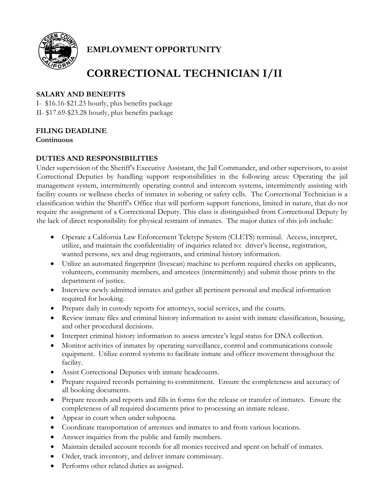

## **EMPLOYMENT OPPORTUNITY**

# **CORRECTIONAL TECHNICIAN I/II**

## **SALARY AND BENEFITS**

I- \$16.16-\$21.23 hourly, plus benefits package II- \$17.69-\$23.28 hourly, plus benefits package

## **FILING DEADLINE**

**Continuous**

## **DUTIES AND RESPONSIBILITIES**

Under supervision of the Sheriff's Executive Assistant, the Jail Commander, and other supervisors, to assist Correctional Deputies by handling support responsibilities in the following areas: Operating the jail management system, intermittently operating control and intercom systems, intermittently assisting with facility counts or wellness checks of inmates in sobering or safety cells. The Correctional Technician is a classification within the Sheriff's Office that will perform support functions, limited in nature, that do not require the assignment of a Correctional Deputy. This class is distinguished from Correctional Deputy by the lack of direct responsibility for physical restraint of inmates. The major duties of this job include:

- Operate a California Law Enforcement Teletype System (CLETS) terminal. Access, interpret, utilize, and maintain the confidentiality of inquiries related to: driver's license, registration, wanted persons, sex and drug registrants, and criminal history information.
- Utilize an automated fingerprint (livescan) machine to perform required checks on applicants, volunteers, community members, and arrestees (intermittently) and submit those prints to the department of justice.
- Interview newly admitted inmates and gather all pertinent personal and medical information required for booking.
- Prepare daily in custody reports for attorneys, social services, and the courts.
- Review inmate files and criminal history information to assist with inmate classification, housing, and other procedural decisions.
- Interpret criminal history information to assess arrestee's legal status for DNA collection.
- Monitor activities of inmates by operating surveillance, control and communications console equipment. Utilize control systems to facilitate inmate and officer movement throughout the facility.
- Assist Correctional Deputies with inmate headcounts.
- Prepare required records pertaining to commitment. Ensure the completeness and accuracy of all booking documents.
- Prepare records and reports and fills in forms for the release or transfer of inmates. Ensure the completeness of all required documents prior to processing an inmate release.
- Appear in court when under subpoena.
- Coordinate transportation of arrestees and inmates to and from various locations.
- Answer inquiries from the public and family members.
- Maintain detailed account records for all monies received and spent on behalf of inmates.
- Order, track inventory, and deliver inmate commissary.
- Performs other related duties as assigned.